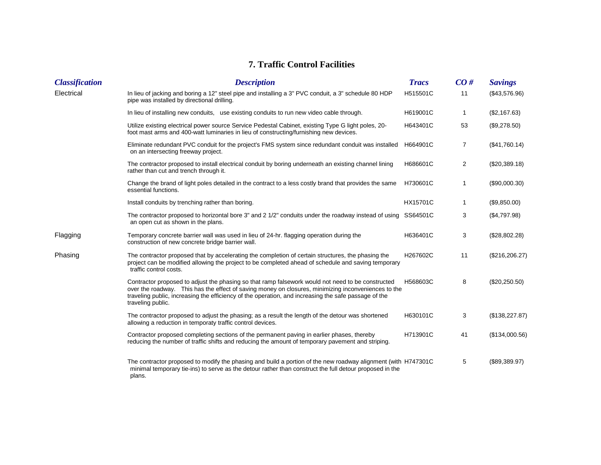## **7. Traffic Control Facilities**

| <b>Classification</b> | <b>Description</b>                                                                                                                                                                                                                                                                                                                    | <b>Tracs</b>    | CO#            | <b>Savings</b>  |
|-----------------------|---------------------------------------------------------------------------------------------------------------------------------------------------------------------------------------------------------------------------------------------------------------------------------------------------------------------------------------|-----------------|----------------|-----------------|
| Electrical            | In lieu of jacking and boring a 12" steel pipe and installing a 3" PVC conduit, a 3" schedule 80 HDP<br>pipe was installed by directional drilling.                                                                                                                                                                                   | H515501C        | 11             | (\$43,576.96)   |
|                       | In lieu of installing new conduits, use existing conduits to run new video cable through.                                                                                                                                                                                                                                             | H619001C        | $\mathbf 1$    | (\$2,167.63)    |
|                       | Utilize existing electrical power source Service Pedestal Cabinet, existing Type G light poles, 20-<br>foot mast arms and 400-watt luminaries in lieu of constructing/furnishing new devices.                                                                                                                                         | H643401C        | 53             | (\$9,278.50)    |
|                       | Eliminate redundant PVC conduit for the project's FMS system since redundant conduit was installed<br>on an intersecting freeway project.                                                                                                                                                                                             | H664901C        | 7              | (\$41,760.14)   |
|                       | The contractor proposed to install electrical conduit by boring underneath an existing channel lining<br>rather than cut and trench through it.                                                                                                                                                                                       | H686601C        | $\overline{c}$ | (\$20,389.18)   |
|                       | Change the brand of light poles detailed in the contract to a less costly brand that provides the same<br>essential functions.                                                                                                                                                                                                        | H730601C        | 1              | (\$90,000.30)   |
|                       | Install conduits by trenching rather than boring.                                                                                                                                                                                                                                                                                     | <b>HX15701C</b> | 1              | (\$9,850.00)    |
|                       | The contractor proposed to horizontal bore 3" and 2 1/2" conduits under the roadway instead of using SS64501C<br>an open cut as shown in the plans.                                                                                                                                                                                   |                 | 3              | (\$4,797.98)    |
| Flagging              | Temporary concrete barrier wall was used in lieu of 24-hr. flagging operation during the<br>construction of new concrete bridge barrier wall.                                                                                                                                                                                         | H636401C        | 3              | (\$28,802.28)   |
| Phasing               | The contractor proposed that by accelerating the completion of certain structures, the phasing the<br>project can be modified allowing the project to be completed ahead of schedule and saving temporary<br>traffic control costs.                                                                                                   | H267602C        | 11             | (\$216, 206.27) |
|                       | Contractor proposed to adjust the phasing so that ramp falsework would not need to be constructed<br>over the roadway. This has the effect of saving money on closures, minimizing inconveniences to the<br>traveling public, increasing the efficiency of the operation, and increasing the safe passage of the<br>traveling public. | H568603C        | 8              | $(\$20,250.50)$ |
|                       | The contractor proposed to adjust the phasing; as a result the length of the detour was shortened<br>allowing a reduction in temporaty traffic control devices.                                                                                                                                                                       | H630101C        | 3              | (\$138,227.87)  |
|                       | Contractor proposed completing sections of the permanent paving in earlier phases, thereby<br>reducing the number of traffic shifts and reducing the amount of temporary payement and striping.                                                                                                                                       | H713901C        | 41             | (\$134,000.56)  |
|                       | The contractor proposed to modify the phasing and build a portion of the new roadway alignment (with H747301C<br>minimal temporary tie-ins) to serve as the detour rather than construct the full detour proposed in the<br>plans.                                                                                                    |                 | 5              | (\$89,389.97)   |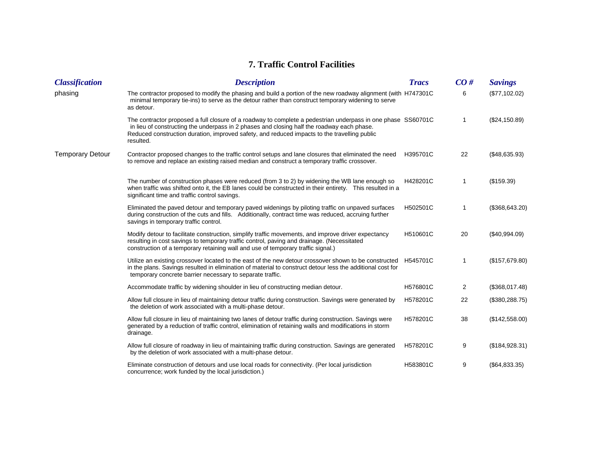## **7. Traffic Control Facilities**

| <b>Classification</b>   | <b>Description</b>                                                                                                                                                                                                                                                                                                      | <b>Tracs</b> | CO# | <b>Savings</b>  |
|-------------------------|-------------------------------------------------------------------------------------------------------------------------------------------------------------------------------------------------------------------------------------------------------------------------------------------------------------------------|--------------|-----|-----------------|
| phasing                 | The contractor proposed to modify the phasing and build a portion of the new roadway alignment (with H747301C<br>minimal temporary tie-ins) to serve as the detour rather than construct temporary widening to serve<br>as detour.                                                                                      |              | 6   | (\$77,102.02)   |
|                         | The contractor proposed a full closure of a roadway to complete a pedestrian underpass in one phase SS60701C<br>in lieu of constructing the underpass in 2 phases and closing half the roadway each phase.<br>Reduced construction duration, improved safety, and reduced impacts to the travelling public<br>resulted. |              | 1   | (\$24,150.89)   |
| <b>Temporary Detour</b> | Contractor proposed changes to the traffic control setups and lane closures that eliminated the need<br>to remove and replace an existing raised median and construct a temporary traffic crossover.                                                                                                                    | H395701C     | 22  | (\$48,635.93)   |
|                         | The number of construction phases were reduced (from 3 to 2) by widening the WB lane enough so<br>when traffic was shifted onto it, the EB lanes could be constructed in their entirety. This resulted in a<br>significant time and traffic control savings.                                                            | H428201C     | 1   | (\$159.39)      |
|                         | Eliminated the paved detour and temporary paved widenings by piloting traffic on unpaved surfaces<br>during construction of the cuts and fills. Additionally, contract time was reduced, accruing further<br>savings in temporary traffic control.                                                                      | H502501C     | 1   | (\$368, 643.20) |
|                         | Modify detour to facilitate construction, simplify traffic movements, and improve driver expectancy<br>resulting in cost savings to temporary traffic control, paving and drainage. (Necessitated<br>construction of a temporary retaining wall and use of temporary traffic signal.)                                   | H510601C     | 20  | (\$40,994.09)   |
|                         | Utilize an existing crossover located to the east of the new detour crossover shown to be constructed<br>in the plans. Savings resulted in elimination of material to construct detour less the additional cost for<br>temporary concrete barrier necessary to separate traffic.                                        | H545701C     | 1   | (\$157,679.80)  |
|                         | Accommodate traffic by widening shoulder in lieu of constructing median detour.                                                                                                                                                                                                                                         | H576801C     | 2   | (\$368,017.48)  |
|                         | Allow full closure in lieu of maintaining detour traffic during construction. Savings were generated by<br>the deletion of work associated with a multi-phase detour.                                                                                                                                                   | H578201C     | 22  | (\$380, 288.75) |
|                         | Allow full closure in lieu of maintaining two lanes of detour traffic during construction. Savings were<br>generated by a reduction of traffic control, elimination of retaining walls and modifications in storm<br>drainage.                                                                                          | H578201C     | 38  | (\$142,558.00)  |
|                         | Allow full closure of roadway in lieu of maintaining traffic during construction. Savings are generated<br>by the deletion of work associated with a multi-phase detour.                                                                                                                                                | H578201C     | 9   | (\$184,928.31)  |
|                         | Eliminate construction of detours and use local roads for connectivity. (Per local jurisdiction<br>concurrence; work funded by the local jurisdiction.)                                                                                                                                                                 | H583801C     | 9   | (\$64,833.35)   |